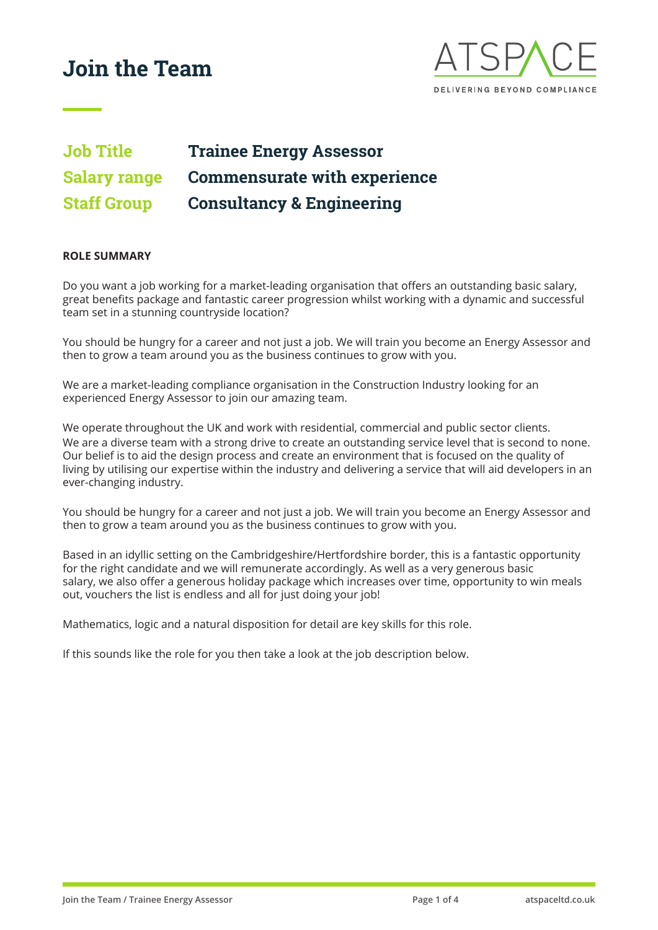

# **Job Title Trainee Energy Assessor Salary range Commensurate with experience Staff Group Consultancy & Engineering**

#### **ROLE SUMMARY**

Do you want a job working for a market-leading organisation that offers an outstanding basic salary, great benefits package and fantastic career progression whilst working with a dynamic and successful team set in a stunning countryside location?

You should be hungry for a career and not just a job. We will train you become an Energy Assessor and then to grow a team around you as the business continues to grow with you.

We are a market-leading compliance organisation in the Construction Industry looking for an experienced Energy Assessor to join our amazing team.

We operate throughout the UK and work with residential, commercial and public sector clients. We are a diverse team with a strong drive to create an outstanding service level that is second to none. Our belief is to aid the design process and create an environment that is focused on the quality of living by utilising our expertise within the industry and delivering a service that will aid developers in an ever-changing industry.

You should be hungry for a career and not just a job. We will train you become an Energy Assessor and then to grow a team around you as the business continues to grow with you.

Based in an idyllic setting on the Cambridgeshire/Hertfordshire border, this is a fantastic opportunity for the right candidate and we will remunerate accordingly. As well as a very generous basic salary, we also offer a generous holiday package which increases over time, opportunity to win meals out, vouchers the list is endless and all for just doing your job!

Mathematics, logic and a natural disposition for detail are key skills for this role.

If this sounds like the role for you then take a look at the job description below.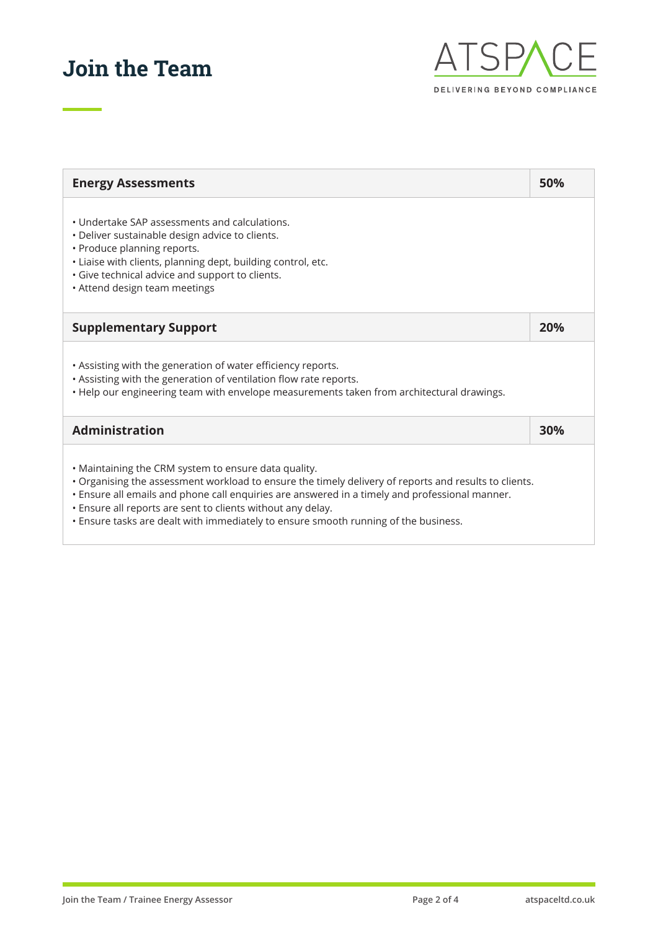

| <b>Energy Assessments</b>                                                                                                                                                                                                                                                                                                                                                                                             | 50% |
|-----------------------------------------------------------------------------------------------------------------------------------------------------------------------------------------------------------------------------------------------------------------------------------------------------------------------------------------------------------------------------------------------------------------------|-----|
| • Undertake SAP assessments and calculations.<br>• Deliver sustainable design advice to clients.<br>• Produce planning reports.<br>· Liaise with clients, planning dept, building control, etc.<br>· Give technical advice and support to clients.<br>• Attend design team meetings                                                                                                                                   |     |
| <b>Supplementary Support</b>                                                                                                                                                                                                                                                                                                                                                                                          | 20% |
| . Assisting with the generation of water efficiency reports.<br>. Assisting with the generation of ventilation flow rate reports.<br>. Help our engineering team with envelope measurements taken from architectural drawings.                                                                                                                                                                                        |     |
| <b>Administration</b>                                                                                                                                                                                                                                                                                                                                                                                                 | 30% |
| • Maintaining the CRM system to ensure data quality.<br>• Organising the assessment workload to ensure the timely delivery of reports and results to clients.<br>• Ensure all emails and phone call enquiries are answered in a timely and professional manner.<br>. Ensure all reports are sent to clients without any delay.<br>. Ensure tasks are dealt with immediately to ensure smooth running of the business. |     |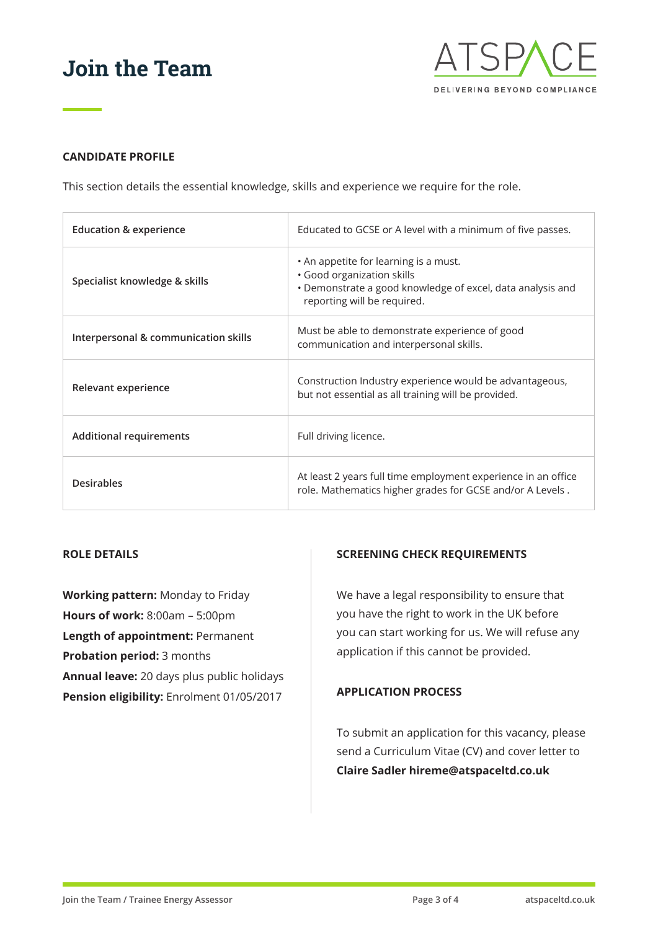

## **CANDIDATE PROFILE**

This section details the essential knowledge, skills and experience we require for the role.

| Education & experience               | Educated to GCSE or A level with a minimum of five passes.                                                                                                       |
|--------------------------------------|------------------------------------------------------------------------------------------------------------------------------------------------------------------|
| Specialist knowledge & skills        | • An appetite for learning is a must.<br>· Good organization skills<br>• Demonstrate a good knowledge of excel, data analysis and<br>reporting will be required. |
| Interpersonal & communication skills | Must be able to demonstrate experience of good<br>communication and interpersonal skills.                                                                        |
| Relevant experience                  | Construction Industry experience would be advantageous,<br>but not essential as all training will be provided.                                                   |
| <b>Additional requirements</b>       | Full driving licence.                                                                                                                                            |
| <b>Desirables</b>                    | At least 2 years full time employment experience in an office<br>role. Mathematics higher grades for GCSE and/or A Levels.                                       |

## **ROLE DETAILS**

**Working pattern:** Monday to Friday **Hours of work:** 8:00am – 5:00pm **Length of appointment:** Permanent **Probation period:** 3 months **Annual leave:** 20 days plus public holidays **Pension eligibility:** Enrolment 01/05/2017

### **SCREENING CHECK REQUIREMENTS**

We have a legal responsibility to ensure that you have the right to work in the UK before you can start working for us. We will refuse any application if this cannot be provided.

#### **APPLICATION PROCESS**

To submit an application for this vacancy, please send a Curriculum Vitae (CV) and cover letter to **Claire Sadler hireme@atspaceltd.co.uk**